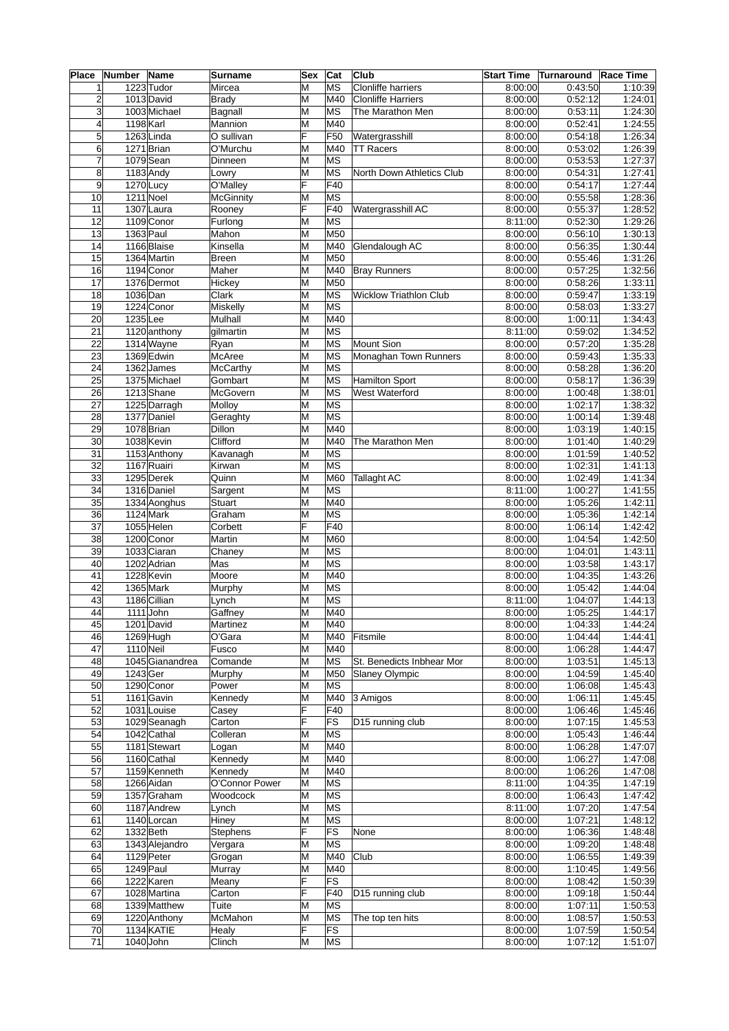| Place           | <b>Number</b> | <b>Name</b>     | Surname        | Sex | Cat                      | Club                          | <b>Start Time</b> | Turnaround Race Time |         |
|-----------------|---------------|-----------------|----------------|-----|--------------------------|-------------------------------|-------------------|----------------------|---------|
| 1               |               | $1223$ Tudor    | Mircea         | М   | MS                       | Clonliffe harriers            | 8:00:00           | 0:43:50              | 1:10:39 |
| $\overline{2}$  |               | 1013 David      | <b>Brady</b>   | М   | M40                      | Clonliffe Harriers            | 8:00:00           | 0:52:12              | 1:24:01 |
| 3               |               | 1003 Michael    | Bagnall        | M   | MS                       | The Marathon Men              | 8:00:00           | 0:53:11              | 1:24:30 |
| 4               | 1198 Karl     |                 | Mannion        | M   | M40                      |                               | 8:00:00           | 0:52:41              | 1:24:55 |
| 5               |               | $1263$ Linda    | O sullivan     | F   | F50                      | Watergrasshill                | 8:00:00           | 0:54:18              | 1:26:34 |
| $6\phantom{1}6$ |               | 1271 Brian      | O'Murchu       | M   | M40                      | <b>TT</b> Racers              | 8:00:00           | 0:53:02              | 1:26:39 |
| $\overline{7}$  |               | $1079$ Sean     | Dinneen        | M   | MS                       |                               | 8:00:00           | 0:53:53              | 1:27:37 |
| 8               |               | 1183 Andy       | Lowry          | M   | <b>MS</b>                | North Down Athletics Club     | 8:00:00           | 0:54:31              | 1:27:41 |
| 9               | 1270 Lucy     |                 | O'Malley       | F   | F40                      |                               | 8:00:00           | 0:54:17              | 1:27:44 |
| 10              | 1211 Noel     |                 | McGinnity      | M   | MS                       |                               | 8:00:00           | 0:55:58              | 1:28:36 |
| 11              |               | $1307$ Laura    | Rooney         | F   | $\overline{F40}$         | Watergrasshill AC             | 8:00:00           | 0:55:37              | 1:28:52 |
| 12              |               | 1109 Conor      | Furlong        | M   | MS                       |                               | 8:11:00           | 0:52:30              | 1:29:26 |
| 13              | 1363 Paul     |                 | Mahon          | M   | M50                      |                               | 8:00:00           | 0:56:10              | 1:30:13 |
| 14              |               | 1166 Blaise     | Kinsella       | M   | M40                      | Glendalough AC                | 8:00:00           | 0:56:35              | 1:30:44 |
| 15              |               | 1364 Martin     | Breen          | M   | M50                      |                               | 8:00:00           | 0:55:46              | 1:31:26 |
| 16              |               | 1194 Conor      | Maher          | M   | M40                      | <b>Bray Runners</b>           | 8:00:00           | 0:57:25              | 1:32:56 |
| 17              |               | 1376 Dermot     | Hickey         | M   | M50                      |                               | 8:00:00           | 0:58:26              | 1:33:11 |
| 18              | 1036 Dan      |                 | Clark          | M   | MS                       | <b>Wicklow Triathlon Club</b> | 8:00:00           | 0:59:47              | 1:33:19 |
| $\overline{19}$ |               | 1224 Conor      | Miskelly       | M   | MS                       |                               | 8:00:00           | 0:58:03              | 1:33:27 |
| 20              | 1235Lee       |                 | Mulhall        | M   | M40                      |                               | 8:00:00           | 1:00:11              | 1:34:43 |
| 21              |               | 1120 anthony    | gilmartin      | M   | MS                       |                               | 8:11:00           | 0:59:02              | 1:34:52 |
| 22              |               | 1314 Wayne      | Ryan           | M   | MS                       | Mount Sion                    | 8:00:00           | 0:57:20              | 1:35:28 |
| 23              |               | 1369 Edwin      | McAree         | M   | ∣MS                      | Monaghan Town Runners         | 8:00:00           | 0:59:43              | 1:35:33 |
| 24              |               | 1362 James      | McCarthy       | M   | MS                       |                               | 8:00:00           | 0:58:28              | 1:36:20 |
| $\overline{25}$ |               | 1375 Michael    | Gombart        | M   | MS                       | Hamilton Sport                | 8:00:00           | 0:58:17              | 1:36:39 |
| 26              |               | 1213 Shane      | McGovern       | M   | ∣MS                      | West Waterford                | 8:00:00           | 1:00:48              | 1:38:01 |
| $\overline{27}$ |               | 1225 Darragh    | Molloy         | M   | $\overline{\mathsf{MS}}$ |                               | 8:00:00           | 1:02:17              | 1:38:32 |
| 28              |               | 1377 Daniel     | Geraghty       | M   | MS                       |                               | 8:00:00           | 1:00:14              | 1:39:48 |
| $\overline{29}$ |               | 1078 Brian      | Dillon         | M   | M40                      |                               | 8:00:00           | 1:03:19              | 1:40:15 |
| $\overline{30}$ |               | 1038 Kevin      | Clifford       | M   | M40                      | The Marathon Men              | 8:00:00           | 1:01:40              | 1:40:29 |
| 31              |               | 1153 Anthony    | Kavanagh       | M   | MS                       |                               | 8:00:00           | 1:01:59              | 1:40:52 |
| 32              |               | 1167 Ruairi     | Kirwan         | M   | MS                       |                               | 8:00:00           | 1:02:31              | 1:41:13 |
| 33              |               | 1295 Derek      | Quinn          | M   | M60                      | Tallaght AC                   | 8:00:00           | 1:02:49              | 1:41:34 |
| 34              |               | 1316 Daniel     | Sargent        | M   | MS                       |                               | 8:11:00           | 1:00:27              | 1:41:55 |
| $\overline{35}$ |               | 1334 Aonghus    | Stuart         | M   | M40                      |                               | 8:00:00           | 1:05:26              | 1:42:11 |
| $\overline{36}$ |               | 1124 Mark       | Graham         | M   | MS                       |                               | 8:00:00           | 1:05:36              | 1:42:14 |
| $\overline{37}$ |               | 1055 Helen      | Corbett        | F   | F40                      |                               | 8:00:00           | 1:06:14              | 1:42:42 |
| 38              |               | 1200 Conor      | Martin         | M   | M60                      |                               | 8:00:00           | 1:04:54              | 1:42:50 |
| 39              |               | 1033 Ciaran     | Chaney         | M   | MS                       |                               | 8:00:00           | 1:04:01              | 1:43:11 |
| 40              |               | 1202 Adrian     | Mas            | M   | MS                       |                               | 8:00:00           | 1:03:58              | 1:43:17 |
| 41              |               | 1228 Kevin      | Moore          | M   | M40                      |                               | 8:00:00           | 1:04:35              | 1:43:26 |
| 42              |               | 1365 Mark       | Murphy         | M   | MS                       |                               | 8:00:00           | 1:05:42              | 1:44:04 |
| 43              |               | 1186 Cillian    | Lynch          | M   | MS                       |                               | 8:11:00           | 1:04:07              | 1:44:13 |
| 44              |               | $1111$ John     | Gaffney        | M   | M40                      |                               | 8:00:00           | 1:05:25              | 1:44:17 |
| 45              |               | 1201 David      | Martinez       | M   | M40                      |                               | 8:00:00           | 1:04:33              | 1:44:24 |
| 46              |               | 1269 Hugh       | O'Gara         | M   | M40                      | Fitsmile                      | 8:00:00           | 1:04:44              | 1:44:41 |
| 47              | 1110 Neil     |                 | Fusco          | M   | M40                      |                               | 8:00:00           | 1:06:28              | 1:44:47 |
| 48              |               | 1045 Gianandrea | Comande        | M   | MS                       | St. Benedicts Inbhear Mor     | 8:00:00           | 1:03:51              | 1:45:13 |
| 49              | 1243 Ger      |                 | Murphy         | M   | M50                      | Slaney Olympic                | 8:00:00           | 1:04:59              | 1:45:40 |
| 50              |               | 1290 Conor      | Power          | M   | MS                       |                               | 8:00:00           | 1:06:08              | 1:45:43 |
| 51              |               | 1161 Gavin      | Kennedy        | M   | M40                      | 3 Amigos                      | 8:00:00           | 1:06:11              | 1:45:45 |
| 52              |               | 1031 Louise     | Casey          | F   | F40                      |                               | 8:00:00           | 1:06:46              | 1:45:46 |
| 53              |               | 1029 Seanagh    | Carton         | F   | FS                       | D15 running club              | 8:00:00           | 1:07:15              | 1:45:53 |
| 54              |               | 1042 Cathal     | Colleran       | M   | MS                       |                               | 8:00:00           | 1:05:43              | 1:46:44 |
| 55              |               | 1181 Stewart    | Logan          | M   | M40                      |                               | 8:00:00           | 1:06:28              | 1:47:07 |
| 56              |               | 1160 Cathal     | Kennedy        | M   | M40                      |                               | 8:00:00           | 1:06:27              | 1:47:08 |
| 57              |               | 1159 Kenneth    | Kennedy        | M   | M40                      |                               | 8:00:00           | 1:06:26              | 1:47:08 |
| 58              |               | 1266 Aidan      | O'Connor Power | M   | MS                       |                               | 8:11:00           | 1:04:35              | 1:47:19 |
| 59              |               | 1357 Graham     | Woodcock       | M   | MS                       |                               | 8:00:00           | 1:06:43              | 1:47:42 |
| 60              |               | 1187 Andrew     | Lynch          | M   | MS                       |                               | 8:11:00           | 1:07:20              | 1:47:54 |
| 61              |               | 1140 Lorcan     | Hiney          | M   | MS                       |                               | 8:00:00           | 1:07:21              | 1:48:12 |
| 62              | 1332 Beth     |                 | Stephens       | F   | FS                       | None                          | 8:00:00           | 1:06:36              | 1:48:48 |
| 63              |               | 1343 Alejandro  | Vergara        | M   | MS                       |                               | 8:00:00           | 1:09:20              | 1:48:48 |
| 64              |               | 1129 Peter      | Grogan         | M   | M40                      | Club                          | 8:00:00           | 1:06:55              | 1:49:39 |
| 65              | 1249 Paul     |                 | Murray         | M   | M40                      |                               | 8:00:00           | 1:10:45              | 1:49:56 |
| 66              |               | 1222 Karen      | Meany          | F   | FS                       |                               | 8:00:00           | 1:08:42              | 1:50:39 |
| 67              |               | 1028 Martina    | Carton         | F   | F40                      | D15 running club              | 8:00:00           | 1:09:18              | 1:50:44 |
| 68              |               | 1339 Matthew    | Tuite          | M   | MS                       |                               | 8:00:00           | 1:07:11              | 1:50:53 |
| 69              |               | 1220 Anthony    | McMahon        | M   | MS                       | The top ten hits              | 8:00:00           | 1:08:57              | 1:50:53 |
| 70              |               | 1134 KATIE      | Healy          | F   | FS                       |                               | 8:00:00           | 1:07:59              | 1:50:54 |
| $\overline{71}$ |               | 1040 John       | Clinch         | M   | MS                       |                               | 8:00:00           | 1:07:12              | 1:51:07 |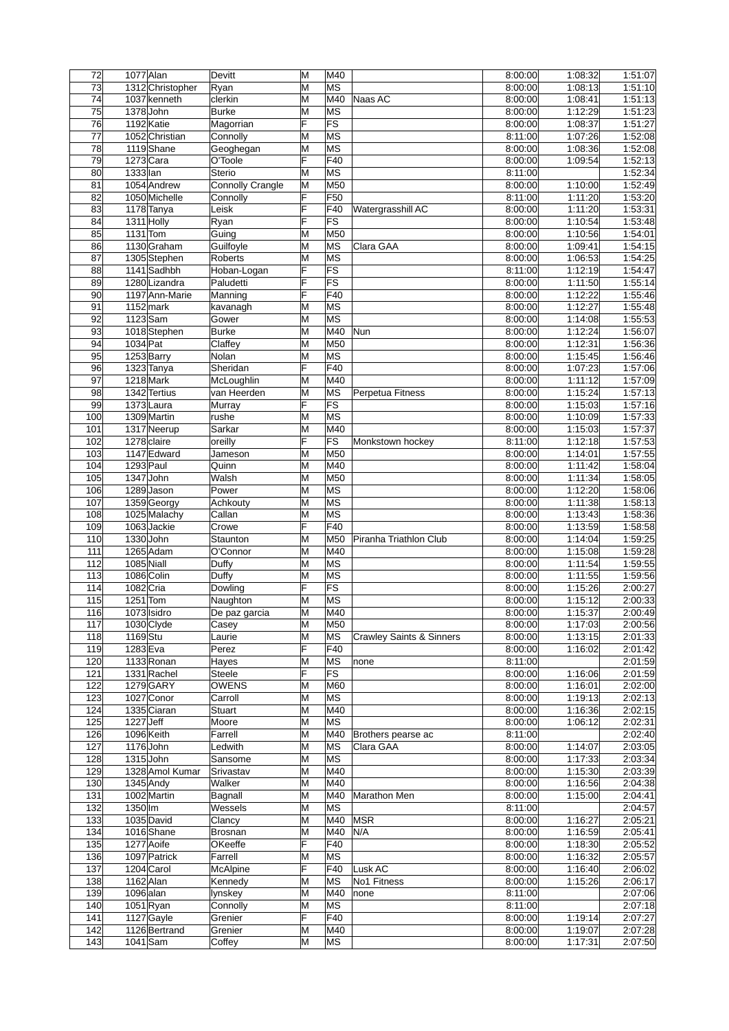| 72                    | $1077$ Alan |                              | Devitt                  | M      | $\overline{M40}$                |                                     | 8:00:00            | 1:08:32            | 1:51:07            |
|-----------------------|-------------|------------------------------|-------------------------|--------|---------------------------------|-------------------------------------|--------------------|--------------------|--------------------|
| 73                    |             | 1312 Christopher             | Ryan                    | M      | MS                              |                                     | 8:00:00            | 1:08:13            | 1:51:10            |
| 74                    |             | 1037 kenneth                 | clerkin                 | M      | M40                             | Naas AC                             | 8:00:00            | 1:08:41            | 1:51:13            |
| 75                    |             | 1378 John                    | <b>Burke</b>            | M      | МS                              |                                     | 8:00:00            | 1:12:29            | 1:51:23            |
| 76                    |             | 1192 Katie                   | Magorrian               | F      | FS                              |                                     | 8:00:00            | 1:08:37            | 1:51:27            |
| 77                    |             | 1052 Christian               | Connolly                | M      | МS                              |                                     | 8:11:00            | 1:07:26            | 1:52:08            |
| 78                    |             | 1119 Shane                   | Geoghegan               | M      | MS                              |                                     | 8:00:00            | 1:08:36            | 1:52:08            |
| 79                    |             | $1273$ Cara                  | O'Toole                 | F      | F40                             |                                     | 8:00:00            | 1:09:54            | 1:52:13            |
| 80                    | 1333 lan    |                              | <b>Sterio</b>           | M      | MS                              |                                     | 8:11:00            |                    | 1:52:34            |
| 81                    |             | 1054 Andrew                  | <b>Connolly Crangle</b> | M      | M50                             |                                     | 8:00:00            | 1:10:00            | 1:52:49            |
| 82                    |             | 1050 Michelle                | Connolly                | F      | F50                             |                                     | 8:11:00            | 1:11:20            | 1:53:20            |
| 83                    |             | 1178 Tanya                   | Leisk                   | Ë<br>F | F40                             | Watergrasshill AC                   | 8:00:00            | 1:11:20            | 1:53:31<br>1:53:48 |
| 84<br>$\overline{85}$ | $1131$ Tom  | 1311 Holly                   | Ryan<br>Guing           | M      | $\overline{\mathsf{FS}}$<br>M50 |                                     | 8:00:00<br>8:00:00 | 1:10:54<br>1:10:56 | 1:54:01            |
| 86                    |             | 1130 Graham                  | Guilfoyle               | M      | MS                              | Clara GAA                           | 8:00:00            | 1:09:41            | 1:54:15            |
| 87                    |             | 1305 Stephen                 | Roberts                 | M      | $\overline{\mathsf{MS}}$        |                                     | 8:00:00            | 1:06:53            | 1:54:25            |
| 88                    |             | 1141 Sadhbh                  | Hoban-Logan             | F      | FS                              |                                     | 8:11:00            | 1:12:19            | 1:54:47            |
| 89                    |             | 1280 Lizandra                | Paludetti               | F      | $\overline{\mathsf{FS}}$        |                                     | 8:00:00            | 1:11:50            | 1:55:14            |
| 90                    |             | 1197 Ann-Marie               | Manning                 | F      | F40                             |                                     | 8:00:00            | 1:12:22            | 1:55:46            |
| 91                    |             | $1152$ mark                  | kavanagh                | M      | $\overline{\mathsf{MS}}$        |                                     | 8:00:00            | 1:12:27            | 1:55:48            |
| 92                    |             | $1123$ Sam                   | Gower                   | M      | МS                              |                                     | 8:00:00            | 1:14:08            | 1:55:53            |
| 93                    |             | 1018 Stephen                 | <b>Burke</b>            | M      | M40                             | Nun                                 | 8:00:00            | 1:12:24            | 1:56:07            |
| 94                    | 1034 Pat    |                              | Claffey                 | M      | M50                             |                                     | 8:00:00            | 1:12:31            | 1:56:36            |
| 95                    |             | 1253 Barry                   | Nolan                   | M      | МS                              |                                     | 8:00:00            | 1:15:45            | 1:56:46            |
| 96                    |             | 1323 Tanya                   | Sheridan                | F      | F40                             |                                     | 8:00:00            | 1:07:23            | 1:57:06            |
| 97                    |             | 1218 Mark                    | McLoughlin              | M      | M40                             |                                     | 8:00:00            | 1:11:12            | 1:57:09            |
| 98                    |             | 1342 Tertius                 | van Heerden             | M      | MS                              | Perpetua Fitness                    | 8:00:00            | 1:15:24            | 1:57:13            |
| 99                    |             | 1373 Laura                   | Murray                  | F      | $\overline{\mathsf{FS}}$        |                                     | 8:00:00            | 1:15:03            | 1:57:16            |
| 100                   |             | 1309 Martin                  | rushe                   | M      | МS                              |                                     | 8:00:00            | 1:10:09            | 1:57:33            |
| 101                   |             | 1317 Neerup                  | Sarkar                  | M      | M40                             |                                     | 8:00:00            | 1:15:03            | 1:57:37            |
| 102                   |             | 1278 claire                  | oreilly                 | F      | FS                              | Monkstown hockey                    | 8:11:00            | 1:12:18            | 1:57:53            |
| 103<br>104            | 1293 Paul   | 1147 Edward                  | Jameson<br>Quinn        | M<br>M | M50<br>M40                      |                                     | 8:00:00<br>8:00:00 | 1:14:01<br>1:11:42 | 1:57:55<br>1:58:04 |
| 105                   |             | 1347 John                    | Walsh                   | M      | M50                             |                                     | 8:00:00            | 1:11:34            | 1:58:05            |
| 106                   |             | $1289$ Jason                 | Power                   | M      | МS                              |                                     | 8:00:00            | 1:12:20            | 1:58:06            |
| 107                   |             | 1359 Georgy                  | Achkouty                | M      | MS                              |                                     | 8:00:00            | 1:11:38            | 1:58:13            |
| 108                   |             | 1025 Malachy                 | Callan                  | M      | $\overline{\mathsf{MS}}$        |                                     | 8:00:00            | 1:13:43            | 1:58:36            |
| 109                   |             | 1063Jackie                   | Crowe                   | F      | F40                             |                                     | 8:00:00            | 1:13:59            | 1:58:58            |
| 110                   |             | 1330 John                    | Staunton                | M      | M50                             | Piranha Triathlon Club              | 8:00:00            | 1:14:04            | 1:59:25            |
| 111                   |             | 1265 Adam                    | O'Connor                | M      | M40                             |                                     | 8:00:00            | 1:15:08            | 1:59:28            |
| 112                   | 1085 Niall  |                              | Duffy                   | M      | МS                              |                                     | 8:00:00            | 1:11:54            | 1:59:55            |
| 113<br>114            | 1082 Cria   | 1086 Colin                   | Duffy<br>Dowling        | M<br>F | MS<br>FS                        |                                     | 8:00:00<br>8:00:00 | 1:11:55<br>1:15:26 | 1:59:56<br>2:00:27 |
| 115                   | $1251$ Tom  |                              | Naughton                | M      | МS                              |                                     | 8:00:00            | 1:15:12            | 2:00:33            |
| 116                   |             | 1073 Isidro                  | De paz garcia           | ΙM     | M40                             |                                     | 8:00:00            | 1:15:37            | 2:00:49            |
| 117                   |             | 1030 Clyde                   | Casey                   | M      | M50                             |                                     | 8:00:00            | 1:17:03            | 2:00:56            |
| 118                   | 1169 Stu    |                              | Laurie                  | M      | MS                              | <b>Crawley Saints &amp; Sinners</b> | 8:00:00            | 1:13:15            | 2:01:33            |
| 119                   | $1283$ Eva  |                              | Perez                   | F      | F40                             |                                     | 8:00:00            | 1:16:02            | 2:01:42            |
| 120                   |             | 1133 Ronan                   | Hayes                   | M      | MS                              | none                                | 8:11:00            |                    | 2:01:59            |
| 121                   |             | 1331 Rachel                  | Steele                  | F      | FS                              |                                     | 8:00:00            | 1:16:06            | 2:01:59            |
| 122                   |             | 1279 GARY                    | OWENS                   | M      | M60                             |                                     | 8:00:00            | 1:16:01            | 2:02:00            |
| 123                   |             | 1027 Conor                   | Carroll                 | M      | MS                              |                                     | 8:00:00            | 1:19:13            | 2:02:13            |
| 124                   |             | 1335 Ciaran                  | <b>Stuart</b>           | M      | M40                             |                                     | 8:00:00            | 1:16:36            | 2:02:15            |
| 125                   | $1227$ Jeff |                              | Moore                   | M      | МS                              |                                     | 8:00:00            | 1:06:12            | 2:02:31            |
| 126                   |             | 1096 Keith                   | Farrell                 | M      | M40                             | Brothers pearse ac                  | 8:11:00            |                    | 2:02:40            |
| 127                   |             | $1176$ John                  | Ledwith                 | M      | MS                              | Clara GAA                           | 8:00:00            | 1:14:07            | 2:03:05            |
| 128                   |             | 1315 John                    | Sansome                 | M      | MS                              |                                     | 8:00:00            | 1:17:33            | 2:03:34            |
| 129<br>130            |             | 1328 Amol Kumar<br>1345 Andy | Srivastav<br>Walker     | М<br>M | M40<br>M40                      |                                     | 8:00:00<br>8:00:00 | 1:15:30<br>1:16:56 | 2:03:39<br>2:04:38 |
| 131                   |             | 1002 Martin                  | Bagnall                 | M      | M40                             | Marathon Men                        | 8:00:00            | 1:15:00            | 2:04:41            |
| 132                   | 1350 Im     |                              | Wessels                 | M      | MS                              |                                     | 8:11:00            |                    | 2:04:57            |
| 133                   |             | 1035 David                   | Clancy                  | M      | M40                             | <b>MSR</b>                          | 8:00:00            | 1:16:27            | 2:05:21            |
| 134                   |             | 1016 Shane                   | <b>Brosnan</b>          | М      | M40                             | N/A                                 | 8:00:00            | 1:16:59            | 2:05:41            |
| 135                   |             | 1277 Aoife                   | OKeeffe                 | F      | F40                             |                                     | 8:00:00            | 1:18:30            | 2:05:52            |
| 136                   |             | 1097 Patrick                 | Farrell                 | M      | MS                              |                                     | 8:00:00            | 1:16:32            | 2:05:57            |
| 137                   |             | 1204 Carol                   | <b>McAlpine</b>         | F      | F40                             | Lusk AC                             | 8:00:00            | 1:16:40            | 2:06:02            |
| 138                   |             | $1162$ Alan                  | Kennedy                 | M      | MS                              | No1 Fitness                         | 8:00:00            | 1:15:26            | 2:06:17            |
| 139                   | $1096$ alan |                              | lynskey                 | M      | M40                             | none                                | 8:11:00            |                    | 2:07:06            |
| 140<br>141            |             | 1051Ryan<br>1127 Gayle       | Connolly<br>Grenier     | M<br>F | MS<br>F40                       |                                     | 8:11:00<br>8:00:00 | 1:19:14            | 2:07:18<br>2:07:27 |
| 142                   |             | 1126 Bertrand                | Grenier                 | M      | M40                             |                                     | 8:00:00            | 1:19:07            | 2:07:28            |
| 143                   |             | $1041$ Sam                   | Coffey                  | M      | MS                              |                                     | 8:00:00            | 1:17:31            | 2:07:50            |
|                       |             |                              |                         |        |                                 |                                     |                    |                    |                    |